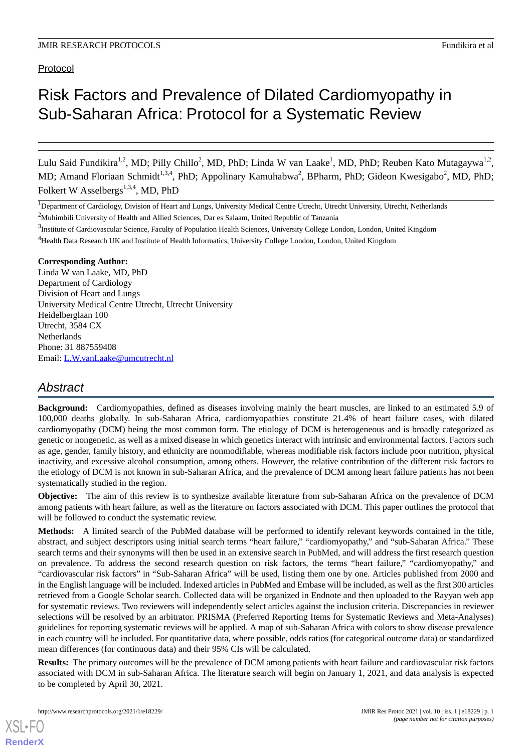# Risk Factors and Prevalence of Dilated Cardiomyopathy in Sub-Saharan Africa: Protocol for a Systematic Review

Lulu Said Fundikira<sup>1,2</sup>, MD; Pilly Chillo<sup>2</sup>, MD, PhD; Linda W van Laake<sup>1</sup>, MD, PhD; Reuben Kato Mutagaywa<sup>1,2</sup>, MD; Amand Floriaan Schmidt<sup>1,3,4</sup>, PhD; Appolinary Kamuhabwa<sup>2</sup>, BPharm, PhD; Gideon Kwesigabo<sup>2</sup>, MD, PhD; Folkert W Asselbergs<sup>1,3,4</sup>, MD, PhD

<sup>4</sup>Health Data Research UK and Institute of Health Informatics, University College London, London, United Kingdom

#### **Corresponding Author:**

Linda W van Laake, MD, PhD Department of Cardiology Division of Heart and Lungs University Medical Centre Utrecht, Utrecht University Heidelberglaan 100 Utrecht, 3584 CX Netherlands Phone: 31 887559408 Email: [L.W.vanLaake@umcutrecht.nl](mailto:L.W.vanLaake@umcutrecht.nl)

# *Abstract*

**Background:** Cardiomyopathies, defined as diseases involving mainly the heart muscles, are linked to an estimated 5.9 of 100,000 deaths globally. In sub-Saharan Africa, cardiomyopathies constitute 21.4% of heart failure cases, with dilated cardiomyopathy (DCM) being the most common form. The etiology of DCM is heterogeneous and is broadly categorized as genetic or nongenetic, as well as a mixed disease in which genetics interact with intrinsic and environmental factors. Factors such as age, gender, family history, and ethnicity are nonmodifiable, whereas modifiable risk factors include poor nutrition, physical inactivity, and excessive alcohol consumption, among others. However, the relative contribution of the different risk factors to the etiology of DCM is not known in sub-Saharan Africa, and the prevalence of DCM among heart failure patients has not been systematically studied in the region.

**Objective:** The aim of this review is to synthesize available literature from sub-Saharan Africa on the prevalence of DCM among patients with heart failure, as well as the literature on factors associated with DCM. This paper outlines the protocol that will be followed to conduct the systematic review.

**Methods:** A limited search of the PubMed database will be performed to identify relevant keywords contained in the title, abstract, and subject descriptors using initial search terms "heart failure," "cardiomyopathy," and "sub-Saharan Africa." These search terms and their synonyms will then be used in an extensive search in PubMed, and will address the first research question on prevalence. To address the second research question on risk factors, the terms "heart failure," "cardiomyopathy," and "cardiovascular risk factors" in "Sub-Saharan Africa" will be used, listing them one by one. Articles published from 2000 and in the English language will be included. Indexed articles in PubMed and Embase will be included, as well as the first 300 articles retrieved from a Google Scholar search. Collected data will be organized in Endnote and then uploaded to the Rayyan web app for systematic reviews. Two reviewers will independently select articles against the inclusion criteria. Discrepancies in reviewer selections will be resolved by an arbitrator. PRISMA (Preferred Reporting Items for Systematic Reviews and Meta-Analyses) guidelines for reporting systematic reviews will be applied. A map of sub-Saharan Africa with colors to show disease prevalence in each country will be included. For quantitative data, where possible, odds ratios (for categorical outcome data) or standardized mean differences (for continuous data) and their 95% CIs will be calculated.

**Results:** The primary outcomes will be the prevalence of DCM among patients with heart failure and cardiovascular risk factors associated with DCM in sub-Saharan Africa. The literature search will begin on January 1, 2021, and data analysis is expected to be completed by April 30, 2021.

[XSL](http://www.w3.org/Style/XSL)•FO **[RenderX](http://www.renderx.com/)**

<sup>&</sup>lt;sup>1</sup>Department of Cardiology, Division of Heart and Lungs, University Medical Centre Utrecht, Utrecht University, Utrecht, Netherlands

<sup>&</sup>lt;sup>2</sup>Muhimbili University of Health and Allied Sciences, Dar es Salaam, United Republic of Tanzania

<sup>&</sup>lt;sup>3</sup>Institute of Cardiovascular Science, Faculty of Population Health Sciences, University College London, London, United Kingdom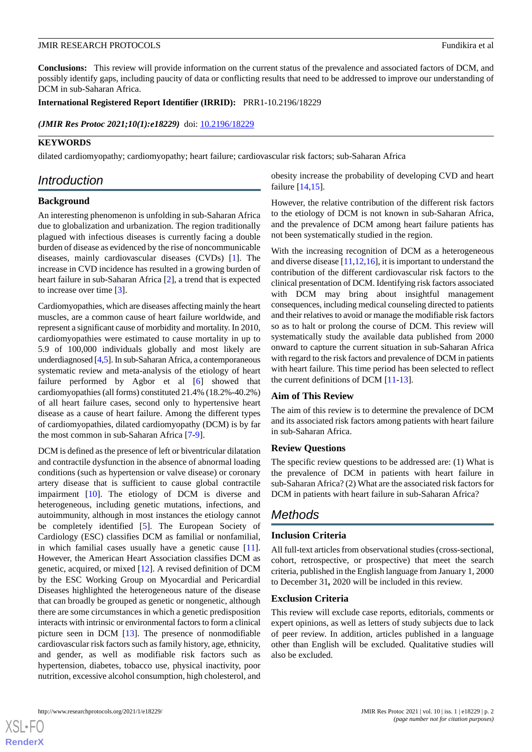#### JMIR RESEARCH PROTOCOLS Fundikira et al

**Conclusions:** This review will provide information on the current status of the prevalence and associated factors of DCM, and possibly identify gaps, including paucity of data or conflicting results that need to be addressed to improve our understanding of DCM in sub-Saharan Africa.

**International Registered Report Identifier (IRRID):** PRR1-10.2196/18229

(JMIR Res Protoc 2021;10(1):e18229) doi: [10.2196/18229](http://dx.doi.org/10.2196/18229)

#### **KEYWORDS**

dilated cardiomyopathy; cardiomyopathy; heart failure; cardiovascular risk factors; sub-Saharan Africa

# *Introduction*

#### **Background**

An interesting phenomenon is unfolding in sub-Saharan Africa due to globalization and urbanization. The region traditionally plagued with infectious diseases is currently facing a double burden of disease as evidenced by the rise of noncommunicable diseases, mainly cardiovascular diseases (CVDs) [[1\]](#page-3-0). The increase in CVD incidence has resulted in a growing burden of heart failure in sub-Saharan Africa [[2\]](#page-3-1), a trend that is expected to increase over time [[3\]](#page-3-2).

Cardiomyopathies, which are diseases affecting mainly the heart muscles, are a common cause of heart failure worldwide, and represent a significant cause of morbidity and mortality. In 2010, cardiomyopathies were estimated to cause mortality in up to 5.9 of 100,000 individuals globally and most likely are underdiagnosed [\[4](#page-3-3)[,5](#page-3-4)]. In sub-Saharan Africa, a contemporaneous systematic review and meta-analysis of the etiology of heart failure performed by Agbor et al [\[6](#page-3-5)] showed that cardiomyopathies (all forms) constituted 21.4% (18.2%-40.2%) of all heart failure cases, second only to hypertensive heart disease as a cause of heart failure. Among the different types of cardiomyopathies, dilated cardiomyopathy (DCM) is by far the most common in sub-Saharan Africa [\[7](#page-3-6)-[9\]](#page-3-7).

DCM is defined as the presence of left or biventricular dilatation and contractile dysfunction in the absence of abnormal loading conditions (such as hypertension or valve disease) or coronary artery disease that is sufficient to cause global contractile impairment [[10\]](#page-3-8). The etiology of DCM is diverse and heterogeneous, including genetic mutations, infections, and autoimmunity, although in most instances the etiology cannot be completely identified [[5\]](#page-3-4). The European Society of Cardiology (ESC) classifies DCM as familial or nonfamilial, in which familial cases usually have a genetic cause [[11\]](#page-3-9). However, the American Heart Association classifies DCM as genetic, acquired, or mixed [[12\]](#page-3-10). A revised definition of DCM by the ESC Working Group on Myocardial and Pericardial Diseases highlighted the heterogeneous nature of the disease that can broadly be grouped as genetic or nongenetic, although there are some circumstances in which a genetic predisposition interacts with intrinsic or environmental factors to form a clinical picture seen in DCM [\[13](#page-3-11)]. The presence of nonmodifiable cardiovascular risk factors such as family history, age, ethnicity, and gender, as well as modifiable risk factors such as hypertension, diabetes, tobacco use, physical inactivity, poor nutrition, excessive alcohol consumption, high cholesterol, and

obesity increase the probability of developing CVD and heart failure [[14,](#page-3-12)[15\]](#page-3-13).

However, the relative contribution of the different risk factors to the etiology of DCM is not known in sub-Saharan Africa, and the prevalence of DCM among heart failure patients has not been systematically studied in the region.

With the increasing recognition of DCM as a heterogeneous and diverse disease  $[11,12,16]$  $[11,12,16]$  $[11,12,16]$  $[11,12,16]$  $[11,12,16]$ , it is important to understand the contribution of the different cardiovascular risk factors to the clinical presentation of DCM. Identifying risk factors associated with DCM may bring about insightful management consequences, including medical counseling directed to patients and their relatives to avoid or manage the modifiable risk factors so as to halt or prolong the course of DCM. This review will systematically study the available data published from 2000 onward to capture the current situation in sub-Saharan Africa with regard to the risk factors and prevalence of DCM in patients with heart failure. This time period has been selected to reflect the current definitions of DCM [[11-](#page-3-9)[13](#page-3-11)].

#### **Aim of This Review**

The aim of this review is to determine the prevalence of DCM and its associated risk factors among patients with heart failure in sub-Saharan Africa.

#### **Review Questions**

The specific review questions to be addressed are: (1) What is the prevalence of DCM in patients with heart failure in sub-Saharan Africa? (2) What are the associated risk factors for DCM in patients with heart failure in sub-Saharan Africa?

## *Methods*

#### **Inclusion Criteria**

All full-text articles from observational studies (cross-sectional, cohort, retrospective, or prospective) that meet the search criteria, published in the English language from January 1, 2000 to December 31*,* 2020 will be included in this review.

#### **Exclusion Criteria**

This review will exclude case reports, editorials, comments or expert opinions, as well as letters of study subjects due to lack of peer review. In addition, articles published in a language other than English will be excluded. Qualitative studies will also be excluded.

[XSL](http://www.w3.org/Style/XSL)•FO **[RenderX](http://www.renderx.com/)**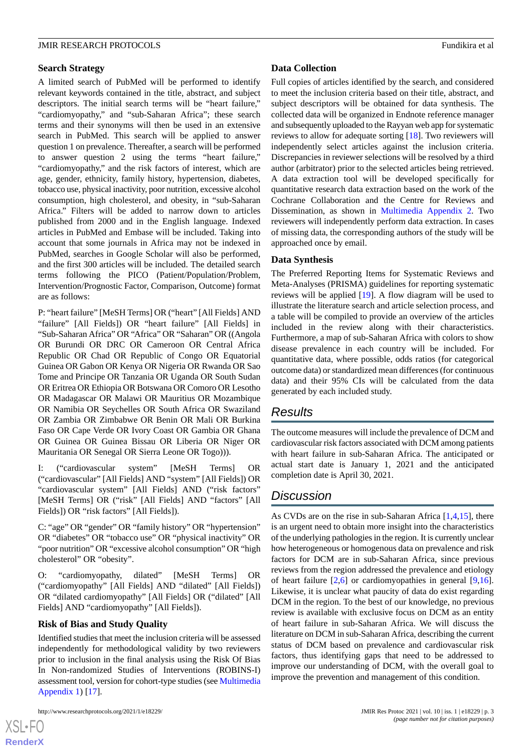#### JMIR RESEARCH PROTOCOLS Fundikira et al

#### **Search Strategy**

A limited search of PubMed will be performed to identify relevant keywords contained in the title, abstract, and subject descriptors. The initial search terms will be "heart failure," "cardiomyopathy," and "sub-Saharan Africa"; these search terms and their synonyms will then be used in an extensive search in PubMed. This search will be applied to answer question 1 on prevalence. Thereafter, a search will be performed to answer question 2 using the terms "heart failure," "cardiomyopathy," and the risk factors of interest, which are age, gender, ethnicity, family history, hypertension, diabetes, tobacco use, physical inactivity, poor nutrition, excessive alcohol consumption, high cholesterol, and obesity, in "sub-Saharan Africa." Filters will be added to narrow down to articles published from 2000 and in the English language. Indexed articles in PubMed and Embase will be included. Taking into account that some journals in Africa may not be indexed in PubMed, searches in Google Scholar will also be performed, and the first 300 articles will be included. The detailed search terms following the PICO (Patient/Population/Problem, Intervention/Prognostic Factor, Comparison, Outcome) format are as follows:

P: "heart failure" [MeSH Terms] OR ("heart" [All Fields] AND "failure" [All Fields]) OR "heart failure" [All Fields] in "Sub-Saharan Africa" OR "Africa" OR "Saharan" OR ((Angola OR Burundi OR DRC OR Cameroon OR Central Africa Republic OR Chad OR Republic of Congo OR Equatorial Guinea OR Gabon OR Kenya OR Nigeria OR Rwanda OR Sao Tome and Principe OR Tanzania OR Uganda OR South Sudan OR Eritrea OR Ethiopia OR Botswana OR Comoro OR Lesotho OR Madagascar OR Malawi OR Mauritius OR Mozambique OR Namibia OR Seychelles OR South Africa OR Swaziland OR Zambia OR Zimbabwe OR Benin OR Mali OR Burkina Faso OR Cape Verde OR Ivory Coast OR Gambia OR Ghana OR Guinea OR Guinea Bissau OR Liberia OR Niger OR Mauritania OR Senegal OR Sierra Leone OR Togo))).

I: ("cardiovascular system" [MeSH Terms] OR ("cardiovascular" [All Fields] AND "system" [All Fields]) OR "cardiovascular system" [All Fields] AND ("risk factors" [MeSH Terms] OR ("risk" [All Fields] AND "factors" [All Fields]) OR "risk factors" [All Fields]).

C: "age" OR "gender" OR "family history" OR "hypertension" OR "diabetes" OR "tobacco use" OR "physical inactivity" OR "poor nutrition" OR "excessive alcohol consumption" OR "high cholesterol" OR "obesity".

"cardiomyopathy, dilated" [MeSH Terms] OR ("cardiomyopathy" [All Fields] AND "dilated" [All Fields]) OR "dilated cardiomyopathy" [All Fields] OR ("dilated" [All Fields] AND "cardiomyopathy" [All Fields]).

#### **Risk of Bias and Study Quality**

Identified studies that meet the inclusion criteria will be assessed independently for methodological validity by two reviewers prior to inclusion in the final analysis using the Risk Of Bias In Non-randomized Studies of Interventions (ROBINS-I) assessment tool, version for cohort-type studies (see [Multimedia](#page-3-14) [Appendix 1\)](#page-3-14) [[17\]](#page-4-1).

 $X$ SL•F $C$ **[RenderX](http://www.renderx.com/)** **Data Collection**

Full copies of articles identified by the search, and considered to meet the inclusion criteria based on their title, abstract, and subject descriptors will be obtained for data synthesis. The collected data will be organized in Endnote reference manager and subsequently uploaded to the Rayyan web app for systematic reviews to allow for adequate sorting [[18\]](#page-4-2). Two reviewers will independently select articles against the inclusion criteria. Discrepancies in reviewer selections will be resolved by a third author (arbitrator) prior to the selected articles being retrieved. A data extraction tool will be developed specifically for quantitative research data extraction based on the work of the Cochrane Collaboration and the Centre for Reviews and Dissemination, as shown in [Multimedia Appendix 2.](#page-3-15) Two reviewers will independently perform data extraction. In cases of missing data, the corresponding authors of the study will be approached once by email.

#### **Data Synthesis**

The Preferred Reporting Items for Systematic Reviews and Meta-Analyses (PRISMA) guidelines for reporting systematic reviews will be applied [[19](#page-4-3)]. A flow diagram will be used to illustrate the literature search and article selection process, and a table will be compiled to provide an overview of the articles included in the review along with their characteristics. Furthermore, a map of sub-Saharan Africa with colors to show disease prevalence in each country will be included. For quantitative data, where possible, odds ratios (for categorical outcome data) or standardized mean differences (for continuous data) and their 95% CIs will be calculated from the data generated by each included study.

### *Results*

The outcome measures will include the prevalence of DCM and cardiovascular risk factors associated with DCM among patients with heart failure in sub-Saharan Africa. The anticipated or actual start date is January 1, 2021 and the anticipated completion date is April 30, 2021.

# *Discussion*

As CVDs are on the rise in sub-Saharan Africa [\[1](#page-3-0),[4,](#page-3-3)[15](#page-3-13)], there is an urgent need to obtain more insight into the characteristics of the underlying pathologies in the region. It is currently unclear how heterogeneous or homogenous data on prevalence and risk factors for DCM are in sub-Saharan Africa, since previous reviews from the region addressed the prevalence and etiology of heart failure [\[2](#page-3-1),[6\]](#page-3-5) or cardiomyopathies in general [\[9](#page-3-7),[16\]](#page-4-0). Likewise, it is unclear what paucity of data do exist regarding DCM in the region. To the best of our knowledge, no previous review is available with exclusive focus on DCM as an entity of heart failure in sub-Saharan Africa. We will discuss the literature on DCM in sub-Saharan Africa, describing the current status of DCM based on prevalence and cardiovascular risk factors, thus identifying gaps that need to be addressed to improve our understanding of DCM, with the overall goal to improve the prevention and management of this condition.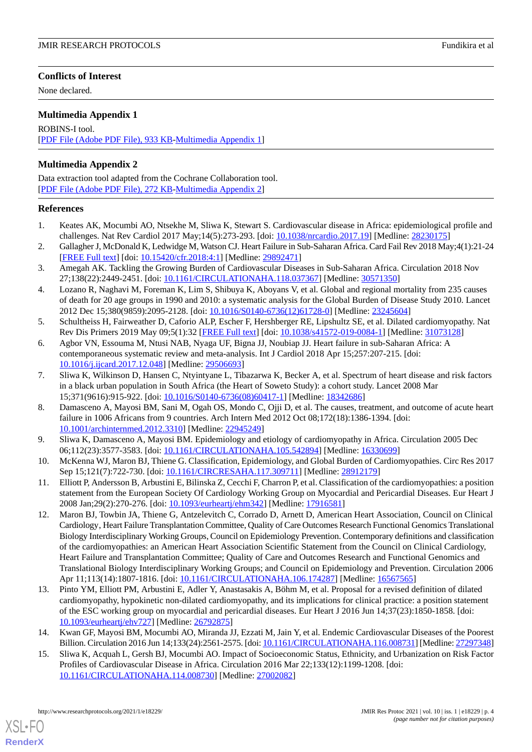#### **Conflicts of Interest**

None declared.

#### <span id="page-3-14"></span>**Multimedia Appendix 1**

ROBINS-I tool. [[PDF File \(Adobe PDF File\), 933 KB](https://jmir.org/api/download?alt_name=resprot_v10i1e18229_app1.pdf&filename=7e28e6f3581cda60eb7faa74a1bb7968.pdf)-[Multimedia Appendix 1\]](https://jmir.org/api/download?alt_name=resprot_v10i1e18229_app1.pdf&filename=7e28e6f3581cda60eb7faa74a1bb7968.pdf)

#### <span id="page-3-15"></span>**Multimedia Appendix 2**

Data extraction tool adapted from the Cochrane Collaboration tool. [[PDF File \(Adobe PDF File\), 272 KB](https://jmir.org/api/download?alt_name=resprot_v10i1e18229_app2.pdf&filename=7f8fdfc08487d0303d88c948ea583af4.pdf)-[Multimedia Appendix 2\]](https://jmir.org/api/download?alt_name=resprot_v10i1e18229_app2.pdf&filename=7f8fdfc08487d0303d88c948ea583af4.pdf)

#### <span id="page-3-0"></span>**References**

- <span id="page-3-1"></span>1. Keates AK, Mocumbi AO, Ntsekhe M, Sliwa K, Stewart S. Cardiovascular disease in Africa: epidemiological profile and challenges. Nat Rev Cardiol 2017 May;14(5):273-293. [doi: [10.1038/nrcardio.2017.19\]](http://dx.doi.org/10.1038/nrcardio.2017.19) [Medline: [28230175\]](http://www.ncbi.nlm.nih.gov/entrez/query.fcgi?cmd=Retrieve&db=PubMed&list_uids=28230175&dopt=Abstract)
- <span id="page-3-2"></span>2. Gallagher J, McDonald K, Ledwidge M, Watson CJ. Heart Failure in Sub-Saharan Africa. Card Fail Rev 2018 May;4(1):21-24 [[FREE Full text](http://europepmc.org/abstract/MED/29892471)] [doi: [10.15420/cfr.2018:4:1](http://dx.doi.org/10.15420/cfr.2018:4:1)] [Medline: [29892471](http://www.ncbi.nlm.nih.gov/entrez/query.fcgi?cmd=Retrieve&db=PubMed&list_uids=29892471&dopt=Abstract)]
- <span id="page-3-3"></span>3. Amegah AK. Tackling the Growing Burden of Cardiovascular Diseases in Sub-Saharan Africa. Circulation 2018 Nov 27;138(22):2449-2451. [doi: [10.1161/CIRCULATIONAHA.118.037367\]](http://dx.doi.org/10.1161/CIRCULATIONAHA.118.037367) [Medline: [30571350](http://www.ncbi.nlm.nih.gov/entrez/query.fcgi?cmd=Retrieve&db=PubMed&list_uids=30571350&dopt=Abstract)]
- <span id="page-3-4"></span>4. Lozano R, Naghavi M, Foreman K, Lim S, Shibuya K, Aboyans V, et al. Global and regional mortality from 235 causes of death for 20 age groups in 1990 and 2010: a systematic analysis for the Global Burden of Disease Study 2010. Lancet 2012 Dec 15;380(9859):2095-2128. [doi: [10.1016/S0140-6736\(12\)61728-0\]](http://dx.doi.org/10.1016/S0140-6736(12)61728-0) [Medline: [23245604](http://www.ncbi.nlm.nih.gov/entrez/query.fcgi?cmd=Retrieve&db=PubMed&list_uids=23245604&dopt=Abstract)]
- <span id="page-3-5"></span>5. Schultheiss H, Fairweather D, Caforio ALP, Escher F, Hershberger RE, Lipshultz SE, et al. Dilated cardiomyopathy. Nat Rev Dis Primers 2019 May 09;5(1):32 [\[FREE Full text\]](http://europepmc.org/abstract/MED/31073128) [doi: [10.1038/s41572-019-0084-1](http://dx.doi.org/10.1038/s41572-019-0084-1)] [Medline: [31073128\]](http://www.ncbi.nlm.nih.gov/entrez/query.fcgi?cmd=Retrieve&db=PubMed&list_uids=31073128&dopt=Abstract)
- <span id="page-3-6"></span>6. Agbor VN, Essouma M, Ntusi NAB, Nyaga UF, Bigna JJ, Noubiap JJ. Heart failure in sub-Saharan Africa: A contemporaneous systematic review and meta-analysis. Int J Cardiol 2018 Apr 15;257:207-215. [doi: [10.1016/j.ijcard.2017.12.048](http://dx.doi.org/10.1016/j.ijcard.2017.12.048)] [Medline: [29506693](http://www.ncbi.nlm.nih.gov/entrez/query.fcgi?cmd=Retrieve&db=PubMed&list_uids=29506693&dopt=Abstract)]
- 7. Sliwa K, Wilkinson D, Hansen C, Ntyintyane L, Tibazarwa K, Becker A, et al. Spectrum of heart disease and risk factors in a black urban population in South Africa (the Heart of Soweto Study): a cohort study. Lancet 2008 Mar 15;371(9616):915-922. [doi: [10.1016/S0140-6736\(08\)60417-1\]](http://dx.doi.org/10.1016/S0140-6736(08)60417-1) [Medline: [18342686](http://www.ncbi.nlm.nih.gov/entrez/query.fcgi?cmd=Retrieve&db=PubMed&list_uids=18342686&dopt=Abstract)]
- <span id="page-3-8"></span><span id="page-3-7"></span>8. Damasceno A, Mayosi BM, Sani M, Ogah OS, Mondo C, Ojji D, et al. The causes, treatment, and outcome of acute heart failure in 1006 Africans from 9 countries. Arch Intern Med 2012 Oct 08;172(18):1386-1394. [doi: [10.1001/archinternmed.2012.3310\]](http://dx.doi.org/10.1001/archinternmed.2012.3310) [Medline: [22945249](http://www.ncbi.nlm.nih.gov/entrez/query.fcgi?cmd=Retrieve&db=PubMed&list_uids=22945249&dopt=Abstract)]
- <span id="page-3-9"></span>9. Sliwa K, Damasceno A, Mayosi BM. Epidemiology and etiology of cardiomyopathy in Africa. Circulation 2005 Dec 06;112(23):3577-3583. [doi: [10.1161/CIRCULATIONAHA.105.542894\]](http://dx.doi.org/10.1161/CIRCULATIONAHA.105.542894) [Medline: [16330699](http://www.ncbi.nlm.nih.gov/entrez/query.fcgi?cmd=Retrieve&db=PubMed&list_uids=16330699&dopt=Abstract)]
- <span id="page-3-10"></span>10. McKenna WJ, Maron BJ, Thiene G. Classification, Epidemiology, and Global Burden of Cardiomyopathies. Circ Res 2017 Sep 15;121(7):722-730. [doi: [10.1161/CIRCRESAHA.117.309711\]](http://dx.doi.org/10.1161/CIRCRESAHA.117.309711) [Medline: [28912179](http://www.ncbi.nlm.nih.gov/entrez/query.fcgi?cmd=Retrieve&db=PubMed&list_uids=28912179&dopt=Abstract)]
- 11. Elliott P, Andersson B, Arbustini E, Bilinska Z, Cecchi F, Charron P, et al. Classification of the cardiomyopathies: a position statement from the European Society Of Cardiology Working Group on Myocardial and Pericardial Diseases. Eur Heart J 2008 Jan;29(2):270-276. [doi: [10.1093/eurheartj/ehm342](http://dx.doi.org/10.1093/eurheartj/ehm342)] [Medline: [17916581\]](http://www.ncbi.nlm.nih.gov/entrez/query.fcgi?cmd=Retrieve&db=PubMed&list_uids=17916581&dopt=Abstract)
- <span id="page-3-11"></span>12. Maron BJ, Towbin JA, Thiene G, Antzelevitch C, Corrado D, Arnett D, American Heart Association, Council on Clinical Cardiology' Heart Failure Transplantation Committee, Quality of Care Outcomes Research Functional Genomics Translational Biology Interdisciplinary Working Groups, Council on Epidemiology Prevention. Contemporary definitions and classification of the cardiomyopathies: an American Heart Association Scientific Statement from the Council on Clinical Cardiology, Heart Failure and Transplantation Committee; Quality of Care and Outcomes Research and Functional Genomics and Translational Biology Interdisciplinary Working Groups; and Council on Epidemiology and Prevention. Circulation 2006 Apr 11;113(14):1807-1816. [doi: [10.1161/CIRCULATIONAHA.106.174287\]](http://dx.doi.org/10.1161/CIRCULATIONAHA.106.174287) [Medline: [16567565](http://www.ncbi.nlm.nih.gov/entrez/query.fcgi?cmd=Retrieve&db=PubMed&list_uids=16567565&dopt=Abstract)]
- <span id="page-3-13"></span><span id="page-3-12"></span>13. Pinto YM, Elliott PM, Arbustini E, Adler Y, Anastasakis A, Böhm M, et al. Proposal for a revised definition of dilated cardiomyopathy, hypokinetic non-dilated cardiomyopathy, and its implications for clinical practice: a position statement of the ESC working group on myocardial and pericardial diseases. Eur Heart J 2016 Jun 14;37(23):1850-1858. [doi: [10.1093/eurheartj/ehv727\]](http://dx.doi.org/10.1093/eurheartj/ehv727) [Medline: [26792875](http://www.ncbi.nlm.nih.gov/entrez/query.fcgi?cmd=Retrieve&db=PubMed&list_uids=26792875&dopt=Abstract)]
- 14. Kwan GF, Mayosi BM, Mocumbi AO, Miranda JJ, Ezzati M, Jain Y, et al. Endemic Cardiovascular Diseases of the Poorest Billion. Circulation 2016 Jun 14;133(24):2561-2575. [doi: [10.1161/CIRCULATIONAHA.116.008731\]](http://dx.doi.org/10.1161/CIRCULATIONAHA.116.008731) [Medline: [27297348\]](http://www.ncbi.nlm.nih.gov/entrez/query.fcgi?cmd=Retrieve&db=PubMed&list_uids=27297348&dopt=Abstract)
- 15. Sliwa K, Acquah L, Gersh BJ, Mocumbi AO. Impact of Socioeconomic Status, Ethnicity, and Urbanization on Risk Factor Profiles of Cardiovascular Disease in Africa. Circulation 2016 Mar 22;133(12):1199-1208. [doi: [10.1161/CIRCULATIONAHA.114.008730\]](http://dx.doi.org/10.1161/CIRCULATIONAHA.114.008730) [Medline: [27002082\]](http://www.ncbi.nlm.nih.gov/entrez/query.fcgi?cmd=Retrieve&db=PubMed&list_uids=27002082&dopt=Abstract)

[XSL](http://www.w3.org/Style/XSL)•FO **[RenderX](http://www.renderx.com/)**